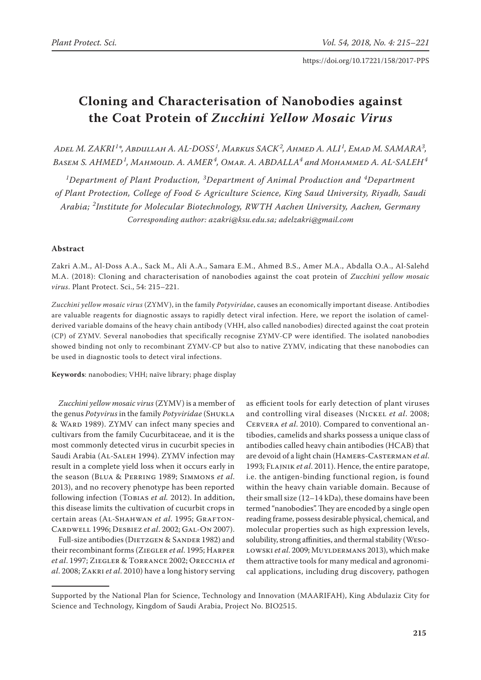# **Cloning and Characterisation of Nanobodies against the Coat Protein of** *Zucchini Yellow Mosaic Virus*

*Adel M. Zakri <sup>1</sup> \*, Abdullah A. AL-Doss <sup>1</sup> , Markus Sack<sup>2</sup> , Ahmed A. Ali <sup>1</sup> , Emad M. Samara<sup>3</sup> , Basem S. Ahmed <sup>1</sup> , Mahmoud. A. Amer<sup>4</sup> , Omar. A. Abdalla<sup>4</sup> and Mohammed A. Al-Saleh<sup>4</sup>*

*1 Department of Plant Production, <sup>3</sup> Department of Animal Production and <sup>4</sup> Department of Plant Protection, College of Food & Agriculture Science, King Saud University, Riyadh, Saudi Arabia; <sup>2</sup> Institute for Molecular Biotechnology, RWTH Aachen University, Aachen, Germany Corresponding author: azakri@ksu.edu.sa; adelzakri@gmail.com*

## **Abstract**

Zakri A.M., Al-Doss A.A., Sack M., Ali A.A., Samara E.M., Ahmed B.S., Amer M.A., Abdalla O.A., Al-Salehd M.A. (2018): Cloning and characterisation of nanobodies against the coat protein of *Zucchini yellow mosaic virus*. Plant Protect. Sci., 54: 215–221.

*Zucchini yellow mosaic virus* (ZYMV), in the family *Potyviridae*, causes an economically important disease. Antibodies are valuable reagents for diagnostic assays to rapidly detect viral infection. Here, we report the isolation of camelderived variable domains of the heavy chain antibody (VHH, also called nanobodies) directed against the coat protein (CP) of ZYMV. Several nanobodies that specifically recognise ZYMV-CP were identified. The isolated nanobodies showed binding not only to recombinant ZYMV-CP but also to native ZYMV, indicating that these nanobodies can be used in diagnostic tools to detect viral infections.

**Keywords**: nanobodies; VHH; naïve library; phage display

*Zucchini yellow mosaic virus* (ZYMV) is a member of the genus *Potyvirus* in the family *Potyviridae* (Shukla & Ward 1989). ZYMV can infect many species and cultivars from the family Cucurbitaceae, and it is the most commonly detected virus in cucurbit species in Saudi Arabia (Al-Saleh 1994). ZYMV infection may result in a complete yield loss when it occurs early in the season (Blua & Perring 1989; Simmons *et al*. 2013), and no recovery phenotype has been reported following infection (Tobias *et al.* 2012). In addition, this disease limits the cultivation of cucurbit crops in certain areas (AL-SHAHWAN et al. 1995; GRAFTON-Cardwell 1996; Desbiez *et al*. 2002; Gal-On 2007).

Full-size antibodies (DIETZGEN & SANDER 1982) and their recombinant forms (Ziegler *et al*. 1995; Harper *et al*. 1997; Ziegler & Torrance 2002; Orecchia *et al*. 2008; Zakri *et al*. 2010) have a long history serving as efficient tools for early detection of plant viruses and controlling viral diseases (NICKEL et al. 2008; Cervera *et al*. 2010). Compared to conventional antibodies, camelids and sharks possess a unique class of antibodies called heavy chain antibodies (HCAB) that are devoid of a light chain (Hamers-Casterman *et al*. 1993; Flajnik *et al*. 2011). Hence, the entire paratope, i.e. the antigen-binding functional region, is found within the heavy chain variable domain. Because of their small size (12–14 kDa), these domains have been termed "nanobodies". They are encoded by a single open reading frame, possess desirable physical, chemical, and molecular properties such as high expression levels, solubility, strong affinities, and thermal stability (Weso-LOWSKI *et al.* 2009; MUYLDERMANS 2013), which make them attractive tools for many medical and agronomical applications, including drug discovery, pathogen

Supported by the National Plan for Science, Technology and Innovation (MAARIFAH), King Abdulaziz City for Science and Technology, Kingdom of Saudi Arabia, Project No. BIO2515.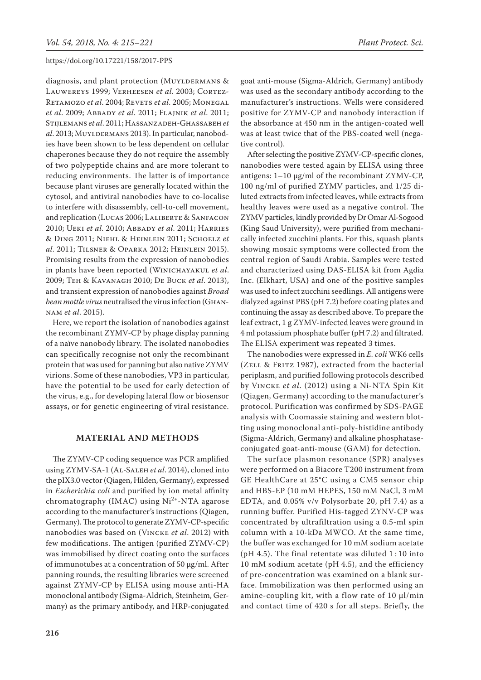diagnosis, and plant protection (MUYLDERMANS & Lauwereys 1999; Verheesen *et al*. 2003; Cortez-Retamozo *et al*. 2004; Revets *et al*. 2005; Monegal *et al*. 2009; Abbady *et al*. 2011; Flajnik *et al*. 2011; Stijlemans *et al*. 2011; Hassanzadeh-Ghassabeh*et*  al. 2013; MUYLDERMANS 2013). In particular, nanobodies have been shown to be less dependent on cellular chaperones because they do not require the assembly of two polypeptide chains and are more tolerant to reducing environments. The latter is of importance because plant viruses are generally located within the cytosol, and antiviral nanobodies have to co-localise to interfere with disassembly, cell-to-cell movement, and replication (LUCAS 2006; LALIBERTE & SANFACON 2010; Ueki *et al*. 2010; Abbady *et al*. 2011; Harries & Ding 2011; Niehl & Heinlein 2011; Schoelz *et al*. 2011; Tilsner & Oparka 2012; Heinlein 2015). Promising results from the expression of nanobodies in plants have been reported (Winichayakul *et al*. 2009; Teh & Kavanagh 2010; De Buck *et al*. 2013), and transient expression of nanobodies against *Broad bean mottle virus* neutralised the virus infection (Ghannam *et al*. 2015).

Here, we report the isolation of nanobodies against the recombinant ZYMV-CP by phage display panning of a naïve nanobody library. The isolated nanobodies can specifically recognise not only the recombinant protein that was used for panning but also native ZYMV virions. Some of these nanobodies, VP3 in particular, have the potential to be used for early detection of the virus, e.g., for developing lateral flow or biosensor assays, or for genetic engineering of viral resistance.

# **MATERIAL AND METHODS**

The ZYMV-CP coding sequence was PCR amplified using ZYMV-SA-1 (Al-Saleh *et al*. 2014), cloned into the pIX3.0 vector (Qiagen, Hilden, Germany), expressed in *Escherichia coli* and purified by ion metal affinity chromatography (IMAC) using  $Ni<sup>2+</sup>-NTA$  agarose according to the manufacturer's instructions (Qiagen, Germany). The protocol to generate ZYMV-CP-specific nanobodies was based on (Vincke *et al*. 2012) with few modifications. The antigen (purified ZYMV-CP) was immobilised by direct coating onto the surfaces of immunotubes at a concentration of 50 µg/ml. After panning rounds, the resulting libraries were screened against ZYMV-CP by ELISA using mouse anti-HA monoclonal antibody (Sigma-Aldrich, Steinheim, Germany) as the primary antibody, and HRP-conjugated

**216**

goat anti-mouse (Sigma-Aldrich, Germany) antibody was used as the secondary antibody according to the manufacturer's instructions. Wells were considered positive for ZYMV-CP and nanobody interaction if the absorbance at 450 nm in the antigen-coated well was at least twice that of the PBS-coated well (negative control).

After selecting the positive ZYMV-CP-specific clones, nanobodies were tested again by ELISA using three antigens: 1–10 µg/ml of the recombinant ZYMV-CP, 100 ng/ml of purified ZYMV particles, and 1/25 diluted extracts from infected leaves, while extracts from healthy leaves were used as a negative control. The ZYMV particles, kindly provided by Dr Omar Al-Sogood (King Saud University), were purified from mechanically infected zucchini plants. For this, squash plants showing mosaic symptoms were collected from the central region of Saudi Arabia. Samples were tested and characterized using DAS-ELISA kit from Agdia Inc. (Elkhart, USA**)** and one of the positive samples was used to infect zucchini seedlings. All antigens were dialyzed against PBS (pH 7.2) before coating plates and continuing the assay as described above. To prepare the leaf extract, 1 g ZYMV-infected leaves were ground in 4 ml potassium phosphate buffer (pH 7.2) and filtrated. The ELISA experiment was repeated 3 times.

The nanobodies were expressed in *E. coli* WK6 cells (ZELL & FRITZ 1987), extracted from the bacterial periplasm, and purified following protocols described by Vincke *et al*. (2012) using a Ni-NTA Spin Kit (Qiagen, Germany) according to the manufacturer's protocol. Purification was confirmed by SDS-PAGE analysis with Coomassie staining and western blotting using monoclonal anti-poly-histidine antibody (Sigma-Aldrich, Germany) and alkaline phosphataseconjugated goat-anti-mouse (GAM) for detection.

The surface plasmon resonance (SPR) analyses were performed on a Biacore T200 instrument from GE HealthCare at 25°C using a CM5 sensor chip and HBS-EP (10 mM HEPES, 150 mM NaCl, 3 mM EDTA, and 0.05% v/v Polysorbate 20, pH 7.4) as a running buffer. Purified His-tagged ZYNV-CP was concentrated by ultrafiltration using a 0.5-ml spin column with a 10-kDa MWCO. At the same time, the buffer was exchanged for 10 mM sodium acetate (pH 4.5). The final retentate was diluted  $1:10$  into 10 mM sodium acetate (pH 4.5), and the efficiency of pre-concentration was examined on a blank surface. Immobilization was then performed using an amine-coupling kit, with a flow rate of 10 µl/min and contact time of 420 s for all steps. Briefly, the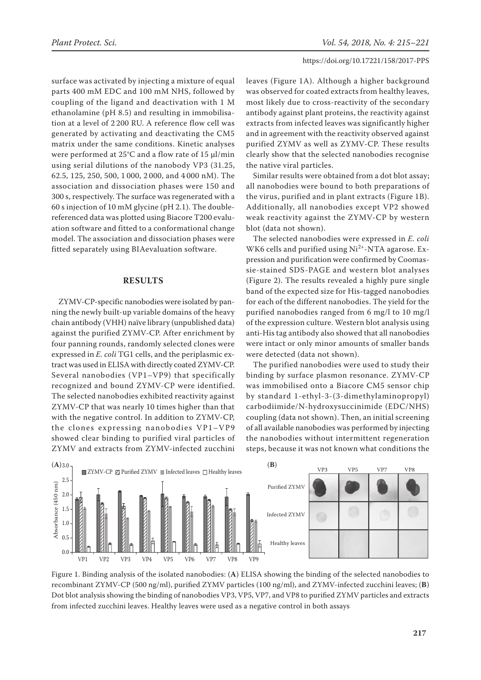surface was activated by injecting a mixture of equal parts 400 mM EDC and 100 mM NHS, followed by coupling of the ligand and deactivation with 1 M ethanolamine (pH 8.5) and resulting in immobilisation at a level of 2 200 RU. A reference flow cell was generated by activating and deactivating the CM5 matrix under the same conditions. Kinetic analyses were performed at 25°C and a flow rate of 15 µl/min using serial dilutions of the nanobody VP3 (31.25, 62.5, 125, 250, 500, 1 000, 2 000, and 4 000 nM). The association and dissociation phases were 150 and 300 s, respectively. The surface was regenerated with a 60 s injection of 10 mM glycine (pH 2.1). The doublereferenced data was plotted using Biacore T200 evaluation software and fitted to a conformational change model. The association and dissociation phases were fitted separately using BIAevaluation software.

## **RESULTS**

ZYMV-CP-specific nanobodies were isolated by panning the newly built-up variable domains of the heavy chain antibody (VHH) naïve library (unpublished data) against the purified ZYMV-CP. After enrichment by four panning rounds, randomly selected clones were expressed in *E. coli* TG1 cells, and the periplasmic extract was used in ELISA with directly coated ZYMV-CP. Several nanobodies (VP1–VP9) that specifically recognized and bound ZYMV-CP were identified. The selected nanobodies exhibited reactivity against ZYMV-CP that was nearly 10 times higher than that with the negative control. In addition to ZYMV-CP, the clones expressing nanobodies VP1–VP9 showed clear binding to purified viral particles of ZYMV and extracts from ZYMV-infected zucchini leaves (Figure 1A). Although a higher background was observed for coated extracts from healthy leaves, most likely due to cross-reactivity of the secondary antibody against plant proteins, the reactivity against extracts from infected leaves was significantly higher and in agreement with the reactivity observed against purified ZYMV as well as ZYMV-CP. These results clearly show that the selected nanobodies recognise the native viral particles.

Similar results were obtained from a dot blot assay; all nanobodies were bound to both preparations of the virus, purified and in plant extracts (Figure 1B). Additionally, all nanobodies except VP2 showed weak reactivity against the ZYMV-CP by western blot (data not shown).

The selected nanobodies were expressed in *E. coli*  WK6 cells and purified using  $Ni<sup>2+</sup>$ -NTA agarose. Expression and purification were confirmed by Coomassie-stained SDS-PAGE and western blot analyses (Figure 2). The results revealed a highly pure single band of the expected size for His-tagged nanobodies for each of the different nanobodies. The yield for the purified nanobodies ranged from 6 mg/l to 10 mg/l of the expression culture. Western blot analysis using anti-His tag antibody also showed that all nanobodies were intact or only minor amounts of smaller bands were detected (data not shown).

The purified nanobodies were used to study their binding by surface plasmon resonance. ZYMV-CP was immobilised onto a Biacore CM5 sensor chip by standard 1-ethyl-3-(3-dimethylaminopropyl) carbodiimide/N-hydroxysuccinimide (EDC/NHS) coupling (data not shown). Then, an initial screening of all available nanobodies was performed by injecting the nanobodies without intermittent regeneration steps, because it was not known what conditions the



Figure 1. Binding analysis of the isolated nanobodies: (**A**) ELISA showing the binding of the selected nanobodies to recombinant ZYMV-CP (500 ng/ml), purified ZYMV particles (100 ng/ml), and ZYMV-infected zucchini leaves; (**B**) Dot blot analysis showing the binding of nanobodies VP3, VP5, VP7, and VP8 to purified ZYMV particles and extracts from infected zucchini leaves. Healthy leaves were used as a negative control in both assays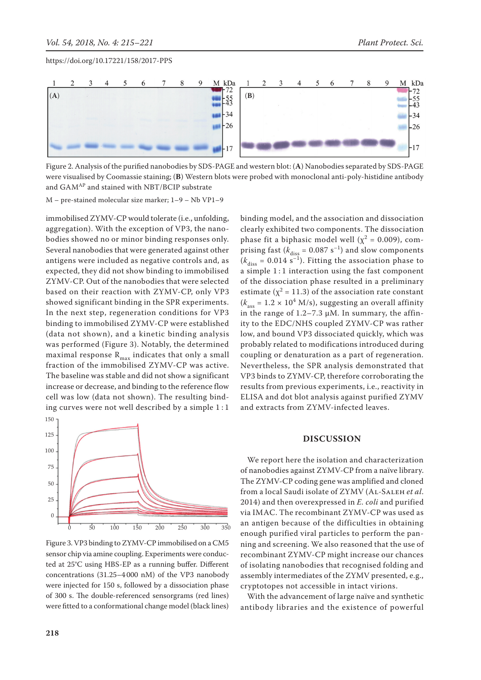

Figure 2. Analysis of the purified nanobodies by SDS-PAGE and western blot: (**A**) Nanobodies separated by SDS-PAGE were visualised by Coomassie staining; (**B**) Western blots were probed with monoclonal anti-poly-histidine antibody and GAM<sup>AP</sup> and stained with NBT/BCIP substrate

M – pre-stained molecular size marker; 1–9 – Nb VP1–9

immobilised ZYMV-CP would tolerate (i.e., unfolding, aggregation). With the exception of VP3, the nanobodies showed no or minor binding responses only. Several nanobodies that were generated against other antigens were included as negative controls and, as expected, they did not show binding to immobilised ZYMV-CP. Out of the nanobodies that were selected based on their reaction with ZYMV-CP, only VP3 showed significant binding in the SPR experiments. In the next step, regeneration conditions for VP3 binding to immobilised ZYMV-CP were established (data not shown), and a kinetic binding analysis was performed (Figure 3). Notably, the determined maximal response  $R_{max}$  indicates that only a small fraction of the immobilised ZYMV-CP was active. The baseline was stable and did not show a significant increase or decrease, and binding to the reference flow cell was low (data not shown). The resulting binding curves were not well described by a simple 1 : 1



Figure 3. VP3 binding to ZYMV-CP immobilised on a CM5 sensor chip via amine coupling. Experiments were conducted at 25°C using HBS-EP as a running buffer. Different concentrations (31.25–4 000 nM) of the VP3 nanobody were injected for 150 s, followed by a dissociation phase of 300 s. The double-referenced sensorgrams (red lines) were fitted to a conformational change model (black lines)

binding model, and the association and dissociation clearly exhibited two components. The dissociation phase fit a biphasic model well ( $\chi^2$  = 0.009), comprising fast ( $k_{\text{diss}} = 0.087 \text{ s}^{-1}$ ) and slow components  $(k<sub>diss</sub> = 0.014 s<sup>-1</sup>)$ . Fitting the association phase to a simple 1:1 interaction using the fast component of the dissociation phase resulted in a preliminary estimate ( $\chi^2$  = 11.3) of the association rate constant  $(k<sub>ass</sub> = 1.2 \times 10<sup>4</sup>$  M/s), suggesting an overall affinity in the range of  $1.2-7.3 \mu M$ . In summary, the affinity to the EDC/NHS coupled ZYMV-CP was rather low, and bound VP3 dissociated quickly, which was probably related to modifications introduced during coupling or denaturation as a part of regeneration. Nevertheless, the SPR analysis demonstrated that VP3 binds to ZYMV-CP, therefore corroborating the results from previous experiments, i.e., reactivity in ELISA and dot blot analysis against purified ZYMV and extracts from ZYMV-infected leaves.

## **DISCUSSION**

We report here the isolation and characterization of nanobodies against ZYMV-CP from a naïve library. The ZYMV-CP coding gene was amplified and cloned from a local Saudi isolate of ZYMV (Al-Saleh *et al*. 2014) and then overexpressed in *E. coli* and purified via IMAC. The recombinant ZYMV-CP was used as an antigen because of the difficulties in obtaining enough purified viral particles to perform the panning and screening. We also reasoned that the use of recombinant ZYMV-CP might increase our chances of isolating nanobodies that recognised folding and assembly intermediates of the ZYMV presented, e.g., cryptotopes not accessible in intact virions.

With the advancement of large naïve and synthetic antibody libraries and the existence of powerful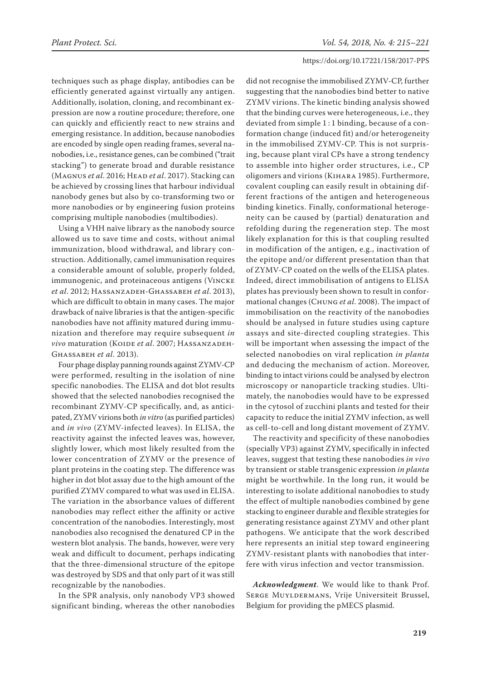techniques such as phage display, antibodies can be efficiently generated against virtually any antigen. Additionally, isolation, cloning, and recombinant expression are now a routine procedure; therefore, one can quickly and efficiently react to new strains and emerging resistance. In addition, because nanobodies are encoded by single open reading frames, several nanobodies, i.e., resistance genes, can be combined ("trait stacking") to generate broad and durable resistance (MAGNUS *et al.* 2016; HEAD *et al.* 2017). Stacking can be achieved by crossing lines that harbour individual nanobody genes but also by co-transforming two or more nanobodies or by engineering fusion proteins comprising multiple nanobodies (multibodies).

Using a VHH naïve library as the nanobody source allowed us to save time and costs, without animal immunization, blood withdrawal, and library construction. Additionally, camel immunisation requires a considerable amount of soluble, properly folded, immunogenic, and proteinaceous antigens (Vincke *et al*. 2012; Hassanzadeh-Ghassabeh *et al*. 2013), which are difficult to obtain in many cases. The major drawback of naïve libraries is that the antigen-specific nanobodies have not affinity matured during immunization and therefore may require subsequent *in vivo* maturation (KOIDE et al. 2007; HASSANZADEH-Ghassabeh *et al*. 2013).

Four phage display panning rounds against ZYMV-CP were performed, resulting in the isolation of nine specific nanobodies. The ELISA and dot blot results showed that the selected nanobodies recognised the recombinant ZYMV-CP specifically, and, as anticipated, ZYMV virions both *in vitro* (as purified particles) and *in vivo* (ZYMV-infected leaves). In ELISA, the reactivity against the infected leaves was, however, slightly lower, which most likely resulted from the lower concentration of ZYMV or the presence of plant proteins in the coating step. The difference was higher in dot blot assay due to the high amount of the purified ZYMV compared to what was used in ELISA. The variation in the absorbance values of different nanobodies may reflect either the affinity or active concentration of the nanobodies. Interestingly, most nanobodies also recognised the denatured CP in the western blot analysis. The bands, however, were very weak and difficult to document, perhaps indicating that the three-dimensional structure of the epitope was destroyed by SDS and that only part of it was still recognizable by the nanobodies.

In the SPR analysis, only nanobody VP3 showed significant binding, whereas the other nanobodies

did not recognise the immobilised ZYMV-CP, further suggesting that the nanobodies bind better to native ZYMV virions. The kinetic binding analysis showed that the binding curves were heterogeneous, i.e., they deviated from simple 1 : 1 binding, because of a conformation change (induced fit) and/or heterogeneity in the immobilised ZYMV-CP. This is not surprising, because plant viral CPs have a strong tendency to assemble into higher order structures, i.e., CP oligomers and virions (Kihara 1985). Furthermore, covalent coupling can easily result in obtaining different fractions of the antigen and heterogeneous binding kinetics. Finally, conformational heterogeneity can be caused by (partial) denaturation and refolding during the regeneration step. The most likely explanation for this is that coupling resulted in modification of the antigen, e.g., inactivation of the epitope and/or different presentation than that of ZYMV-CP coated on the wells of the ELISA plates. Indeed, direct immobilisation of antigens to ELISA plates has previously been shown to result in conformational changes (Chung *et al*. 2008). The impact of immobilisation on the reactivity of the nanobodies should be analysed in future studies using capture assays and site-directed coupling strategies. This will be important when assessing the impact of the selected nanobodies on viral replication *in planta* and deducing the mechanism of action. Moreover, binding to intact virions could be analysed by electron microscopy or nanoparticle tracking studies. Ultimately, the nanobodies would have to be expressed in the cytosol of zucchini plants and tested for their capacity to reduce the initial ZYMV infection, as well as cell-to-cell and long distant movement of ZYMV.

The reactivity and specificity of these nanobodies (specially VP3) against ZYMV, specifically in infected leaves, suggest that testing these nanobodies *in vivo* by transient or stable transgenic expression *in planta* might be worthwhile. In the long run, it would be interesting to isolate additional nanobodies to study the effect of multiple nanobodies combined by gene stacking to engineer durable and flexible strategies for generating resistance against ZYMV and other plant pathogens. We anticipate that the work described here represents an initial step toward engineering ZYMV-resistant plants with nanobodies that interfere with virus infection and vector transmission.

*Acknowledgment*. We would like to thank Prof. Serge Muyldermans, Vrije Universiteit Brussel, Belgium for providing the pMECS plasmid.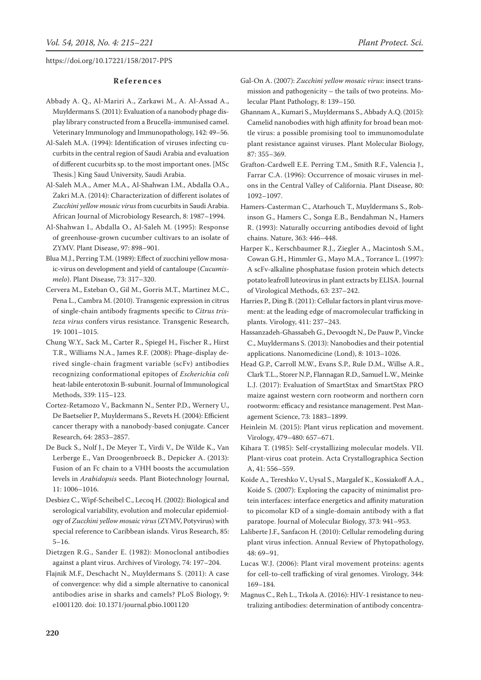#### **References**

- Abbady A. Q., Al-Mariri A., Zarkawi M., A. Al-Assad A., Muyldermans S. (2011): Evaluation of a nanobody phage display library constructed from a Brucella-immunised camel. Veterinary Immunology and Immunopathology, 142: 49–56.
- Al-Saleh M.A. (1994): Identification of viruses infecting cucurbits in the central region of Saudi Arabia and evaluation of different cucurbits sp. to the most important ones. [MSc Thesis.] King Saud University, Saudi Arabia.
- Al-Saleh M.A., Amer M.A., Al-Shahwan I.M., Abdalla O.A., Zakri M.A. (2014): Characterization of different isolates of *Zucchini yellow mosaic virus* from cucurbits in Saudi Arabia. African Journal of Microbiology Research, 8: 1987–1994.
- Al-Shahwan I., Abdalla O., Al-Saleh M. (1995): Response of greenhouse-grown cucumber cultivars to an isolate of ZYMV. Plant Disease, 97: 898–901.
- Blua M.J., Perring T.M. (1989): Effect of zucchini yellow mosaic-virus on development and yield of cantaloupe (*Cucumismelo*). Plant Disease, 73: 317–320.
- Cervera M., Esteban O., Gil M., Gorris M.T., Martinez M.C., Pena L., Cambra M. (2010). Transgenic expression in citrus of single-chain antibody fragments specific to *Citrus tristeza virus* confers virus resistance. Transgenic Research, 19: 1001–1015.
- Chung W.Y., Sack M., Carter R., Spiegel H., Fischer R., Hirst T.R., Williams N.A., James R.F. (2008): Phage-display derived single-chain fragment variable (scFv) antibodies recognizing conformational epitopes of *Escherichia coli* heat-labile enterotoxin B-subunit. Journal of Immunological Methods, 339: 115–123.
- Cortez-Retamozo V., Backmann N., Senter P.D., Wernery U., De Baetselier P., Muyldermans S., Revets H. (2004): Efficient cancer therapy with a nanobody-based conjugate. Cancer Research, 64: 2853–2857.
- De Buck S., Nolf J., De Meyer T., Virdi V., De Wilde K., Van Lerberge E., Van Droogenbroeck B., Depicker A. (2013): Fusion of an Fc chain to a VHH boosts the accumulation levels in *Arabidopsis* seeds. Plant Biotechnology Journal, 11: 1006–1016.
- Desbiez C., Wipf-Scheibel C., Lecoq H. (2002): Biological and serological variability, evolution and molecular epidemiology of *Zucchini yellow mosaic virus* (ZYMV, Potyvirus) with special reference to Caribbean islands. Virus Research, 85: 5–16.
- Dietzgen R.G., Sander E. (1982): Monoclonal antibodies against a plant virus. Archives of Virology, 74: 197–204.
- Flajnik M.F., Deschacht N., Muyldermans S. (2011): A case of convergence: why did a simple alternative to canonical antibodies arise in sharks and camels? PLoS Biology, 9: e1001120. doi: 10.1371/journal.pbio.1001120
- Gal-On A. (2007): *Zucchini yellow mosaic virus*: insect transmission and pathogenicity – the tails of two proteins. Molecular Plant Pathology, 8: 139–150.
- Ghannam A., Kumari S., Muyldermans S., Abbady A.Q. (2015): Camelid nanobodies with high affinity for broad bean mottle virus: a possible promising tool to immunomodulate plant resistance against viruses. Plant Molecular Biology, 87: 355–369.
- Grafton-Cardwell E.E. Perring T.M., Smith R.F., Valencia J., Farrar C.A. (1996): Occurrence of mosaic viruses in melons in the Central Valley of California. Plant Disease, 80: 1092–1097.
- Hamers-Casterman C., Atarhouch T., Muyldermans S., Robinson G., Hamers C., Songa E.B., Bendahman N., Hamers R. (1993): Naturally occurring antibodies devoid of light chains. Nature, 363: 446–448.
- Harper K., Kerschbaumer R.J., Ziegler A., Macintosh S.M., Cowan G.H., Himmler G., Mayo M.A., Torrance L. (1997): A scFv-alkaline phosphatase fusion protein which detects potato leafroll luteovirus in plant extracts by ELISA. Journal of Virological Methods, 63: 237–242.
- Harries P., Ding B. (2011): Cellular factors in plant virus movement: at the leading edge of macromolecular trafficking in plants. Virology, 411: 237–243.
- Hassanzadeh-Ghassabeh G., Devoogdt N., De Pauw P., Vincke C., Muyldermans S. (2013): Nanobodies and their potential applications. Nanomedicine (Lond), 8: 1013–1026.
- Head G.P., Carroll M.W., Evans S.P., Rule D.M., Willse A.R., Clark T.L., Storer N.P., Flannagan R.D., Samuel L.W., Meinke L.J. (2017): Evaluation of SmartStax and SmartStax PRO maize against western corn rootworm and northern corn rootworm: efficacy and resistance management. Pest Management Science, 73: 1883–1899.
- Heinlein M. (2015): Plant virus replication and movement. Virology, 479–480: 657–671.
- Kihara T. (1985): Self-crystallizing molecular models. VII. Plant-virus coat protein. Acta Crystallographica Section A, 41: 556–559.
- Koide A., Tereshko V., Uysal S., Margalef K., Kossiakoff A.A., Koide S. (2007): Exploring the capacity of minimalist protein interfaces: interface energetics and affinity maturation to picomolar KD of a single-domain antibody with a flat paratope. Journal of Molecular Biology, 373: 941–953.
- Laliberte J.F., Sanfacon H. (2010): Cellular remodeling during plant virus infection. Annual Review of Phytopathology, 48: 69–91.
- Lucas W.J. (2006): Plant viral movement proteins: agents for cell-to-cell trafficking of viral genomes. Virology, 344: 169–184.
- Magnus C., Reh L., Trkola A. (2016): HIV-1 resistance to neutralizing antibodies: determination of antibody concentra-